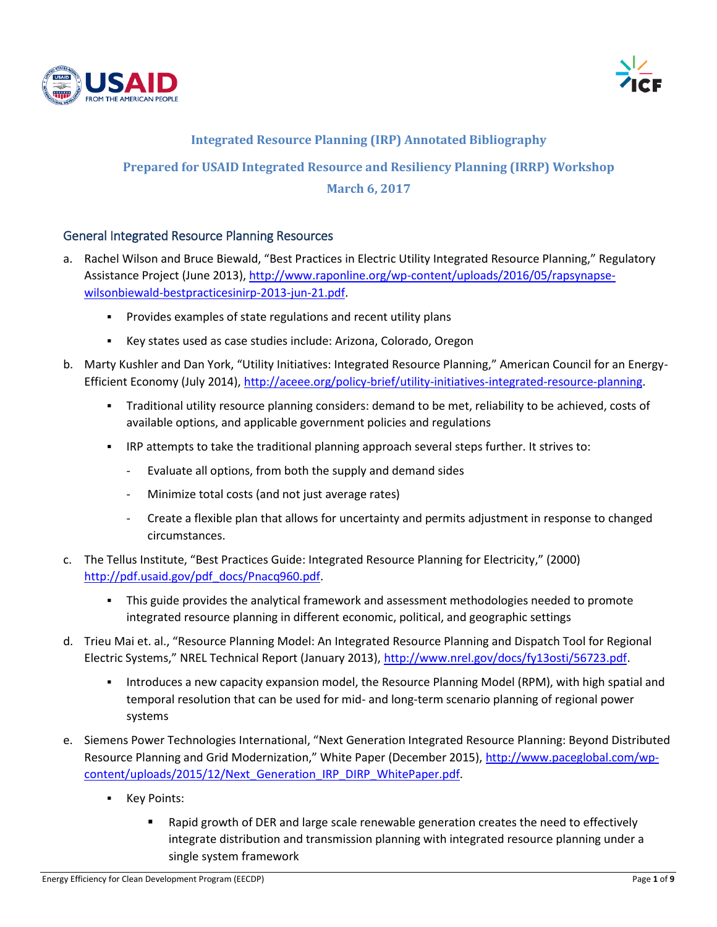



#### **Integrated Resource Planning (IRP) Annotated Bibliography**

# **Prepared for USAID Integrated Resource and Resiliency Planning (IRRP) Workshop**

#### **March 6, 2017**

#### General Integrated Resource Planning Resources

- a. Rachel Wilson and Bruce Biewald, "Best Practices in Electric Utility Integrated Resource Planning," Regulatory Assistance Project (June 2013)[, http://www.raponline.org/wp-content/uploads/2016/05/rapsynapse](http://www.raponline.org/wp-content/uploads/2016/05/rapsynapse-wilsonbiewald-bestpracticesinirp-2013-jun-21.pdf)[wilsonbiewald-bestpracticesinirp-2013-jun-21.pdf.](http://www.raponline.org/wp-content/uploads/2016/05/rapsynapse-wilsonbiewald-bestpracticesinirp-2013-jun-21.pdf)
	- Provides examples of state regulations and recent utility plans
	- Key states used as case studies include: Arizona, Colorado, Oregon
- b. Marty Kushler and Dan York, "Utility Initiatives: Integrated Resource Planning," American Council for an Energy-Efficient Economy (July 2014), [http://aceee.org/policy-brief/utility-initiatives-integrated-resource-planning.](http://aceee.org/policy-brief/utility-initiatives-integrated-resource-planning)
	- Traditional utility resource planning considers: demand to be met, reliability to be achieved, costs of available options, and applicable government policies and regulations
	- IRP attempts to take the traditional planning approach several steps further. It strives to:
		- Evaluate all options, from both the supply and demand sides
		- Minimize total costs (and not just average rates)
		- Create a flexible plan that allows for uncertainty and permits adjustment in response to changed circumstances.
- c. The Tellus Institute, "Best Practices Guide: Integrated Resource Planning for Electricity," (2000) [http://pdf.usaid.gov/pdf\\_docs/Pnacq960.pdf.](http://pdf.usaid.gov/pdf_docs/Pnacq960.pdf)
	- This guide provides the analytical framework and assessment methodologies needed to promote integrated resource planning in different economic, political, and geographic settings
- d. Trieu Mai et. al., "Resource Planning Model: An Integrated Resource Planning and Dispatch Tool for Regional Electric Systems," NREL Technical Report (January 2013), [http://www.nrel.gov/docs/fy13osti/56723.pdf.](http://www.nrel.gov/docs/fy13osti/56723.pdf)
	- **Introduces a new capacity expansion model, the Resource Planning Model (RPM), with high spatial and** temporal resolution that can be used for mid- and long-term scenario planning of regional power systems
- e. Siemens Power Technologies International, "Next Generation Integrated Resource Planning: Beyond Distributed Resource Planning and Grid Modernization," White Paper (December 2015), [http://www.paceglobal.com/wp](http://www.paceglobal.com/wp-content/uploads/2015/12/Next_Generation_IRP_DIRP_WhitePaper.pdf)[content/uploads/2015/12/Next\\_Generation\\_IRP\\_DIRP\\_WhitePaper.pdf.](http://www.paceglobal.com/wp-content/uploads/2015/12/Next_Generation_IRP_DIRP_WhitePaper.pdf)
	- Key Points:
		- **EXECT** Rapid growth of DER and large scale renewable generation creates the need to effectively integrate distribution and transmission planning with integrated resource planning under a single system framework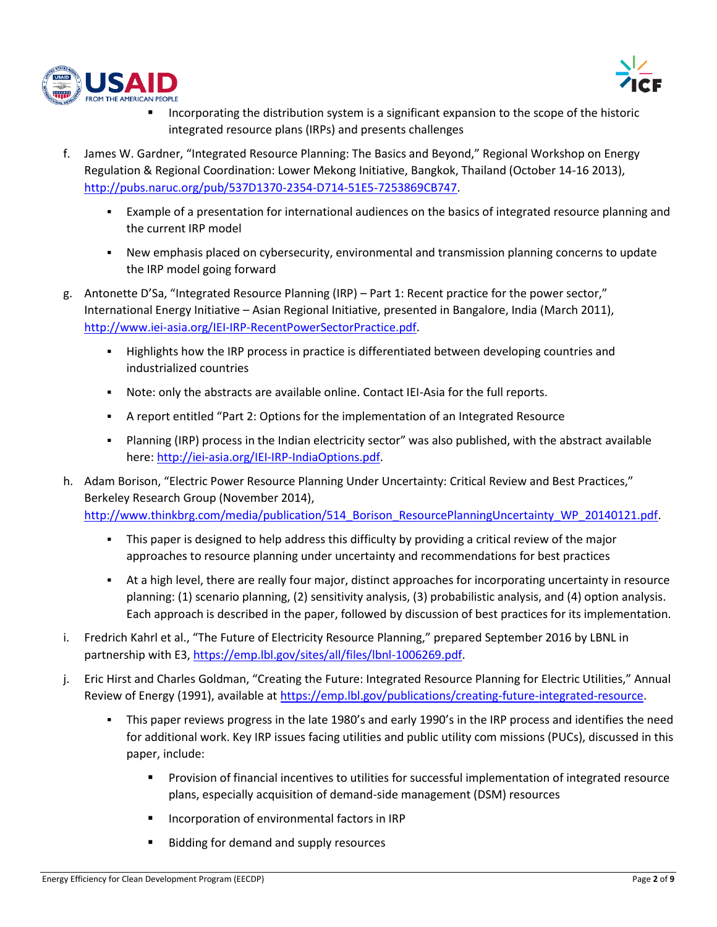



- Incorporating the distribution system is a significant expansion to the scope of the historic integrated resource plans (IRPs) and presents challenges
- f. James W. Gardner, "Integrated Resource Planning: The Basics and Beyond," Regional Workshop on Energy Regulation & Regional Coordination: Lower Mekong Initiative, Bangkok, Thailand (October 14-16 2013), [http://pubs.naruc.org/pub/537D1370-2354-D714-51E5-7253869CB747.](http://pubs.naruc.org/pub/537D1370-2354-D714-51E5-7253869CB747)
	- Example of a presentation for international audiences on the basics of integrated resource planning and the current IRP model
	- New emphasis placed on cybersecurity, environmental and transmission planning concerns to update the IRP model going forward
- g. Antonette D'Sa, "Integrated Resource Planning (IRP) Part 1: Recent practice for the power sector," International Energy Initiative – Asian Regional Initiative, presented in Bangalore, India (March 2011), [http://www.iei-asia.org/IEI-IRP-RecentPowerSectorPractice.pdf.](http://www.iei-asia.org/IEI-IRP-RecentPowerSectorPractice.pdf)
	- **Highlights how the IRP process in practice is differentiated between developing countries and** industrialized countries
	- Note: only the abstracts are available online. Contact IEI-Asia for the full reports.
	- A report entitled "Part 2: Options for the implementation of an Integrated Resource
	- Planning (IRP) process in the Indian electricity sector" was also published, with the abstract available here: [http://iei-asia.org/IEI-IRP-IndiaOptions.pdf.](http://iei-asia.org/IEI-IRP-IndiaOptions.pdf)
- h. Adam Borison, "Electric Power Resource Planning Under Uncertainty: Critical Review and Best Practices," Berkeley Research Group (November 2014), http://www.thinkbrg.com/media/publication/514 Borison\_ResourcePlanningUncertainty\_WP\_20140121.pdf.
	- This paper is designed to help address this difficulty by providing a critical review of the major approaches to resource planning under uncertainty and recommendations for best practices
	- At a high level, there are really four major, distinct approaches for incorporating uncertainty in resource planning: (1) scenario planning, (2) sensitivity analysis, (3) probabilistic analysis, and (4) option analysis. Each approach is described in the paper, followed by discussion of best practices for its implementation.
- i. Fredrich Kahrl et al., "The Future of Electricity Resource Planning," prepared September 2016 by LBNL in partnership with E3, [https://emp.lbl.gov/sites/all/files/lbnl-1006269.pdf.](https://emp.lbl.gov/sites/all/files/lbnl-1006269.pdf)
- j. Eric Hirst and Charles Goldman, "Creating the Future: Integrated Resource Planning for Electric Utilities," Annual Review of Energy (1991), available at [https://emp.lbl.gov/publications/creating-future-integrated-resource.](https://emp.lbl.gov/publications/creating-future-integrated-resource)
	- This paper reviews progress in the late 1980's and early 1990's in the IRP process and identifies the need for additional work. Key IRP issues facing utilities and public utility com missions (PUCs), discussed in this paper, include:
		- **Provision of financial incentives to utilities for successful implementation of integrated resource** plans, especially acquisition of demand-side management (DSM) resources
		- **Incorporation of environmental factors in IRP**
		- Bidding for demand and supply resources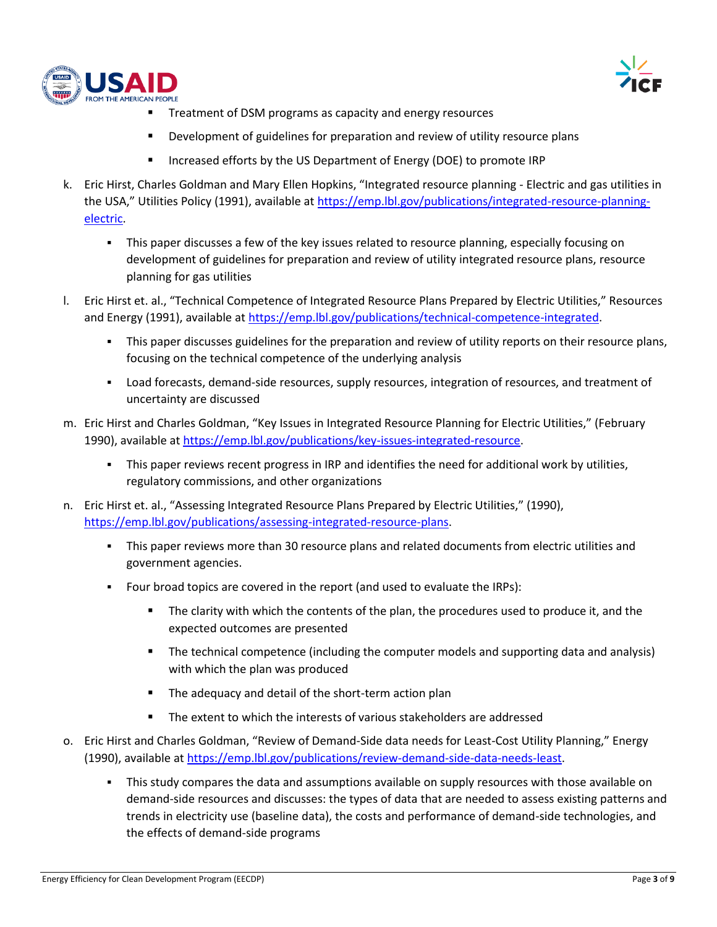



- Treatment of DSM programs as capacity and energy resources
- **•** Development of guidelines for preparation and review of utility resource plans
- **Increased efforts by the US Department of Energy (DOE) to promote IRP**
- k. Eric Hirst, Charles Goldman and Mary Ellen Hopkins, "Integrated resource planning Electric and gas utilities in the USA," Utilities Policy (1991), available at [https://emp.lbl.gov/publications/integrated-resource-planning](https://emp.lbl.gov/publications/integrated-resource-planning-electric)[electric.](https://emp.lbl.gov/publications/integrated-resource-planning-electric)
	- This paper discusses a few of the key issues related to resource planning, especially focusing on development of guidelines for preparation and review of utility integrated resource plans, resource planning for gas utilities
- l. Eric Hirst et. al., "Technical Competence of Integrated Resource Plans Prepared by Electric Utilities," Resources and Energy (1991), available at [https://emp.lbl.gov/publications/technical-competence-integrated.](https://emp.lbl.gov/publications/technical-competence-integrated)
	- This paper discusses guidelines for the preparation and review of utility reports on their resource plans, focusing on the technical competence of the underlying analysis
	- Load forecasts, demand-side resources, supply resources, integration of resources, and treatment of uncertainty are discussed
- m. Eric Hirst and Charles Goldman, "Key Issues in Integrated Resource Planning for Electric Utilities," (February 1990), available a[t https://emp.lbl.gov/publications/key-issues-integrated-resource.](https://emp.lbl.gov/publications/key-issues-integrated-resource)
	- **•** This paper reviews recent progress in IRP and identifies the need for additional work by utilities, regulatory commissions, and other organizations
- n. Eric Hirst et. al., "Assessing Integrated Resource Plans Prepared by Electric Utilities," (1990), [https://emp.lbl.gov/publications/assessing-integrated-resource-plans.](https://emp.lbl.gov/publications/assessing-integrated-resource-plans)
	- This paper reviews more than 30 resource plans and related documents from electric utilities and government agencies.
	- Four broad topics are covered in the report (and used to evaluate the IRPs):
		- The clarity with which the contents of the plan, the procedures used to produce it, and the expected outcomes are presented
		- The technical competence (including the computer models and supporting data and analysis) with which the plan was produced
		- **The adequacy and detail of the short-term action plan**
		- The extent to which the interests of various stakeholders are addressed
- o. Eric Hirst and Charles Goldman, "Review of Demand-Side data needs for Least-Cost Utility Planning," Energy (1990), available a[t https://emp.lbl.gov/publications/review-demand-side-data-needs-least.](https://emp.lbl.gov/publications/review-demand-side-data-needs-least)
	- This study compares the data and assumptions available on supply resources with those available on demand-side resources and discusses: the types of data that are needed to assess existing patterns and trends in electricity use (baseline data), the costs and performance of demand-side technologies, and the effects of demand-side programs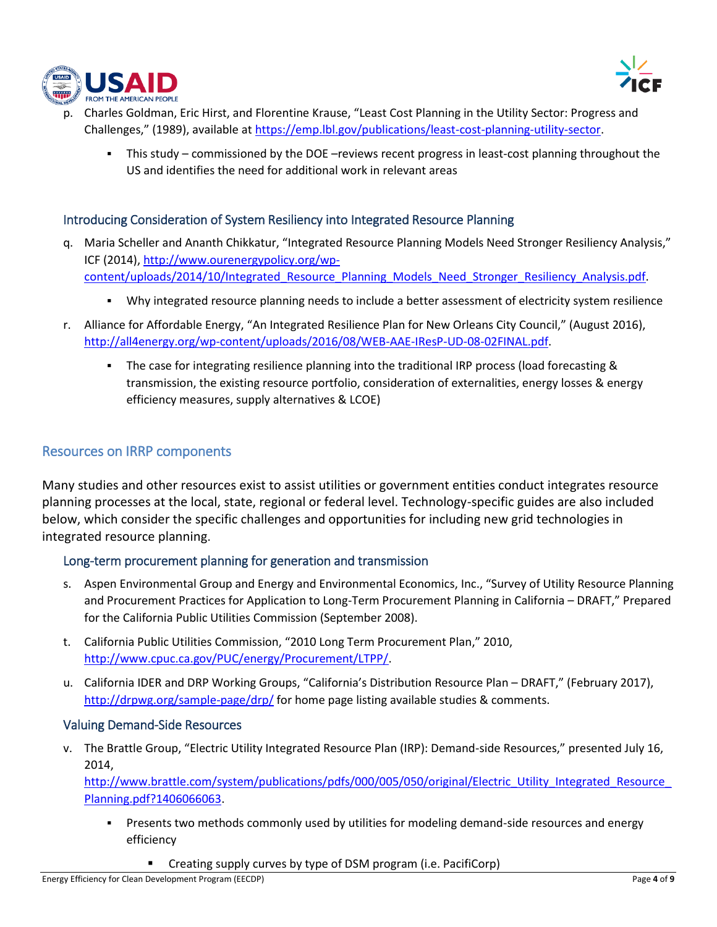



- p. Charles Goldman, Eric Hirst, and Florentine Krause, "Least Cost Planning in the Utility Sector: Progress and Challenges," (1989), available at [https://emp.lbl.gov/publications/least-cost-planning-utility-sector.](https://emp.lbl.gov/publications/least-cost-planning-utility-sector)
	- This study commissioned by the DOE –reviews recent progress in least-cost planning throughout the US and identifies the need for additional work in relevant areas

#### Introducing Consideration of System Resiliency into Integrated Resource Planning

- q. Maria Scheller and Ananth Chikkatur, "Integrated Resource Planning Models Need Stronger Resiliency Analysis," ICF (2014), [http://www.ourenergypolicy.org/wp](http://www.ourenergypolicy.org/wp-content/uploads/2014/10/Integrated_Resource_Planning_Models_Need_Stronger_Resiliency_Analysis.pdf)[content/uploads/2014/10/Integrated\\_Resource\\_Planning\\_Models\\_Need\\_Stronger\\_Resiliency\\_Analysis.pdf.](http://www.ourenergypolicy.org/wp-content/uploads/2014/10/Integrated_Resource_Planning_Models_Need_Stronger_Resiliency_Analysis.pdf)
	- Why integrated resource planning needs to include a better assessment of electricity system resilience
- r. Alliance for Affordable Energy, "An Integrated Resilience Plan for New Orleans City Council," (August 2016), [http://all4energy.org/wp-content/uploads/2016/08/WEB-AAE-IResP-UD-08-02FINAL.pdf.](http://all4energy.org/wp-content/uploads/2016/08/WEB-AAE-IResP-UD-08-02FINAL.pdf)
	- The case for integrating resilience planning into the traditional IRP process (load forecasting & transmission, the existing resource portfolio, consideration of externalities, energy losses & energy efficiency measures, supply alternatives & LCOE)

#### Resources on IRRP components

Many studies and other resources exist to assist utilities or government entities conduct integrates resource planning processes at the local, state, regional or federal level. Technology-specific guides are also included below, which consider the specific challenges and opportunities for including new grid technologies in integrated resource planning.

#### Long-term procurement planning for generation and transmission

- s. Aspen Environmental Group and Energy and Environmental Economics, Inc., "Survey of Utility Resource Planning and Procurement Practices for Application to Long-Term Procurement Planning in California – DRAFT," Prepared for the California Public Utilities Commission (September 2008).
- t. California Public Utilities Commission, "2010 Long Term Procurement Plan," 2010, [http://www.cpuc.ca.gov/PUC/energy/Procurement/LTPP/.](http://www.cpuc.ca.gov/PUC/energy/Procurement/LTPP/)
- u. California IDER and DRP Working Groups, "California's Distribution Resource Plan DRAFT," (February 2017), <http://drpwg.org/sample-page/drp/> for home page listing available studies & comments.

#### Valuing Demand-Side Resources

v. The Brattle Group, "Electric Utility Integrated Resource Plan (IRP): Demand-side Resources," presented July 16, 2014,

http://www.brattle.com/system/publications/pdfs/000/005/050/original/Electric\_Utility\_Integrated\_Resource [Planning.pdf?1406066063.](http://www.brattle.com/system/publications/pdfs/000/005/050/original/Electric_Utility_Integrated_Resource_Planning.pdf?1406066063)

- **•** Presents two methods commonly used by utilities for modeling demand-side resources and energy efficiency
	- Creating supply curves by type of DSM program (i.e. PacifiCorp)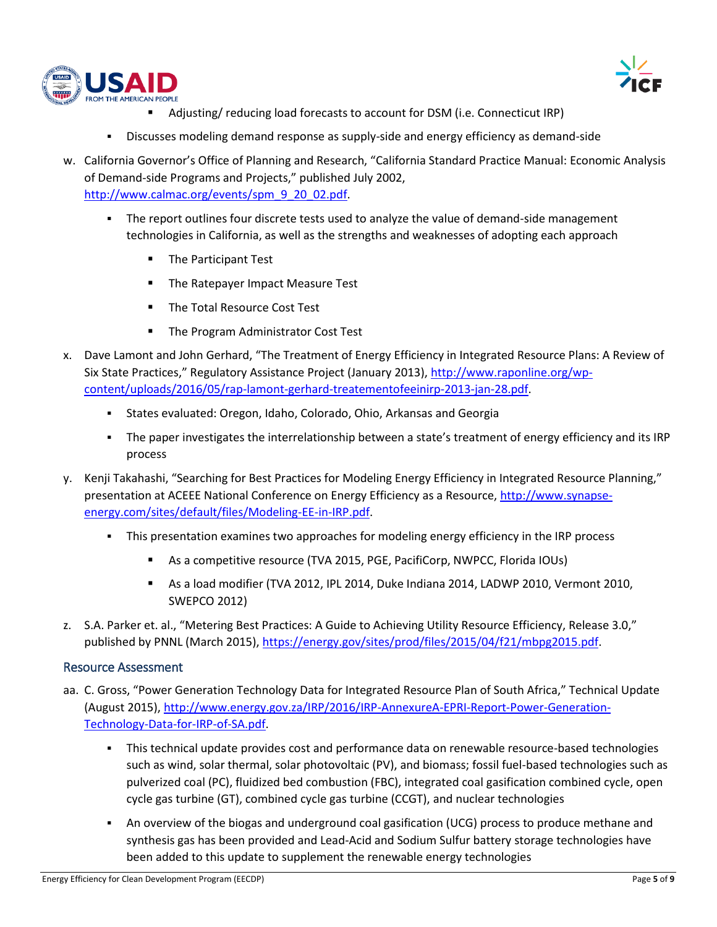



- Adjusting/ reducing load forecasts to account for DSM (i.e. Connecticut IRP)
- Discusses modeling demand response as supply-side and energy efficiency as demand-side
- w. California Governor's Office of Planning and Research, "California Standard Practice Manual: Economic Analysis of Demand-side Programs and Projects," published July 2002, [http://www.calmac.org/events/spm\\_9\\_20\\_02.pdf.](http://www.calmac.org/events/spm_9_20_02.pdf)
	- The report outlines four discrete tests used to analyze the value of demand-side management technologies in California, as well as the strengths and weaknesses of adopting each approach
		- **The Participant Test**
		- **The Ratepayer Impact Measure Test**
		- **The Total Resource Cost Test**
		- **The Program Administrator Cost Test**
- x. Dave Lamont and John Gerhard, "The Treatment of Energy Efficiency in Integrated Resource Plans: A Review of Six State Practices," Regulatory Assistance Project (January 2013), [http://www.raponline.org/wp](http://www.raponline.org/wp-content/uploads/2016/05/rap-lamont-gerhard-treatementofeeinirp-2013-jan-28.pdf)[content/uploads/2016/05/rap-lamont-gerhard-treatementofeeinirp-2013-jan-28.pdf.](http://www.raponline.org/wp-content/uploads/2016/05/rap-lamont-gerhard-treatementofeeinirp-2013-jan-28.pdf)
	- States evaluated: Oregon, Idaho, Colorado, Ohio, Arkansas and Georgia
	- The paper investigates the interrelationship between a state's treatment of energy efficiency and its IRP process
- y. Kenji Takahashi, "Searching for Best Practices for Modeling Energy Efficiency in Integrated Resource Planning," presentation at ACEEE National Conference on Energy Efficiency as a Resource, [http://www.synapse](http://www.synapse-energy.com/sites/default/files/Modeling-EE-in-IRP.pdf)[energy.com/sites/default/files/Modeling-EE-in-IRP.pdf.](http://www.synapse-energy.com/sites/default/files/Modeling-EE-in-IRP.pdf)
	- **•** This presentation examines two approaches for modeling energy efficiency in the IRP process
		- As a competitive resource (TVA 2015, PGE, PacifiCorp, NWPCC, Florida IOUs)
		- As a load modifier (TVA 2012, IPL 2014, Duke Indiana 2014, LADWP 2010, Vermont 2010, SWEPCO 2012)
- z. S.A. Parker et. al., "Metering Best Practices: A Guide to Achieving Utility Resource Efficiency, Release 3.0," published by PNNL (March 2015), [https://energy.gov/sites/prod/files/2015/04/f21/mbpg2015.pdf.](https://energy.gov/sites/prod/files/2015/04/f21/mbpg2015.pdf)

#### Resource Assessment

- aa. C. Gross, "Power Generation Technology Data for Integrated Resource Plan of South Africa," Technical Update (August 2015), [http://www.energy.gov.za/IRP/2016/IRP-AnnexureA-EPRI-Report-Power-Generation-](http://www.energy.gov.za/IRP/2016/IRP-AnnexureA-EPRI-Report-Power-Generation-Technology-Data-for-IRP-of-SA.pdf)[Technology-Data-for-IRP-of-SA.pdf.](http://www.energy.gov.za/IRP/2016/IRP-AnnexureA-EPRI-Report-Power-Generation-Technology-Data-for-IRP-of-SA.pdf)
	- This technical update provides cost and performance data on renewable resource-based technologies such as wind, solar thermal, solar photovoltaic (PV), and biomass; fossil fuel-based technologies such as pulverized coal (PC), fluidized bed combustion (FBC), integrated coal gasification combined cycle, open cycle gas turbine (GT), combined cycle gas turbine (CCGT), and nuclear technologies
	- An overview of the biogas and underground coal gasification (UCG) process to produce methane and synthesis gas has been provided and Lead-Acid and Sodium Sulfur battery storage technologies have been added to this update to supplement the renewable energy technologies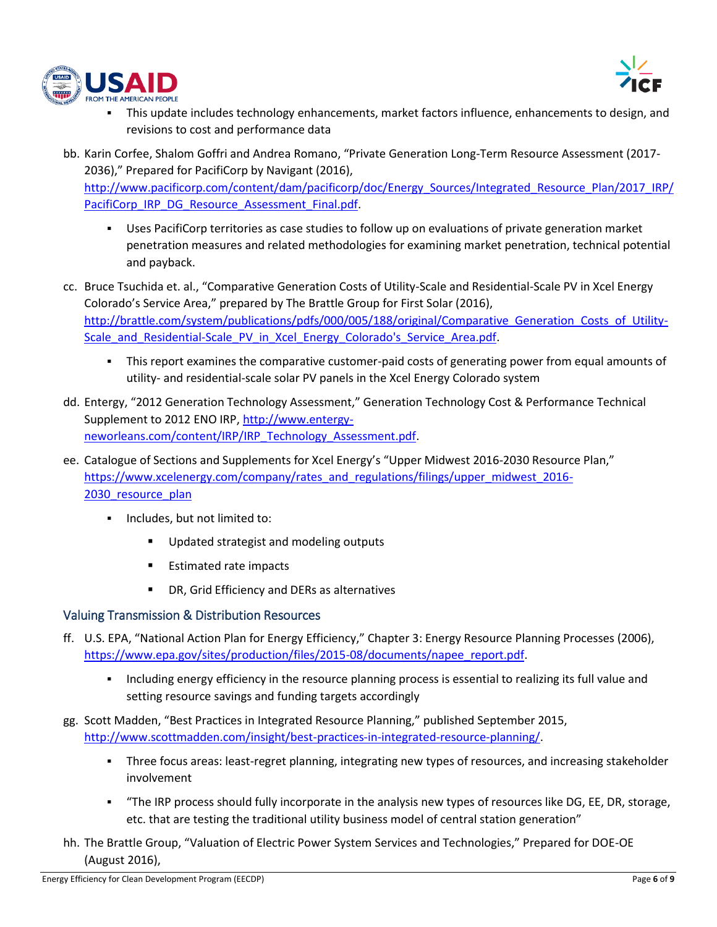



- This update includes technology enhancements, market factors influence, enhancements to design, and revisions to cost and performance data
- bb. Karin Corfee, Shalom Goffri and Andrea Romano, "Private Generation Long-Term Resource Assessment (2017- 2036)," Prepared for PacifiCorp by Navigant (2016), [http://www.pacificorp.com/content/dam/pacificorp/doc/Energy\\_Sources/Integrated\\_Resource\\_Plan/2017\\_IRP/](http://www.pacificorp.com/content/dam/pacificorp/doc/Energy_Sources/Integrated_Resource_Plan/2017_IRP/PacifiCorp_IRP_DG_Resource_Assessment_Final.pdf) [PacifiCorp\\_IRP\\_DG\\_Resource\\_Assessment\\_Final.pdf.](http://www.pacificorp.com/content/dam/pacificorp/doc/Energy_Sources/Integrated_Resource_Plan/2017_IRP/PacifiCorp_IRP_DG_Resource_Assessment_Final.pdf)
	- Uses PacifiCorp territories as case studies to follow up on evaluations of private generation market penetration measures and related methodologies for examining market penetration, technical potential and payback.
- cc. Bruce Tsuchida et. al., "Comparative Generation Costs of Utility-Scale and Residential-Scale PV in Xcel Energy Colorado's Service Area," prepared by The Brattle Group for First Solar (2016), http://brattle.com/system/publications/pdfs/000/005/188/original/Comparative Generation Costs of Utility-[Scale\\_and\\_Residential-Scale\\_PV\\_in\\_Xcel\\_Energy\\_Colorado's\\_Service\\_Area.pdf.](http://brattle.com/system/publications/pdfs/000/005/188/original/Comparative_Generation_Costs_of_Utility-Scale_and_Residential-Scale_PV_in_Xcel_Energy_Colorado)
	- This report examines the comparative customer-paid costs of generating power from equal amounts of utility- and residential-scale solar PV panels in the Xcel Energy Colorado system
- dd. Entergy, "2012 Generation Technology Assessment," Generation Technology Cost & Performance Technical Supplement to 2012 ENO IRP, [http://www.entergy](http://www.entergy-neworleans.com/content/IRP/IRP_Technology_Assessment.pdf)[neworleans.com/content/IRP/IRP\\_Technology\\_Assessment.pdf.](http://www.entergy-neworleans.com/content/IRP/IRP_Technology_Assessment.pdf)
- ee. Catalogue of Sections and Supplements for Xcel Energy's "Upper Midwest 2016-2030 Resource Plan," [https://www.xcelenergy.com/company/rates\\_and\\_regulations/filings/upper\\_midwest\\_2016-](https://www.xcelenergy.com/company/rates_and_regulations/filings/upper_midwest_2016-2030_resource_plan) 2030 resource plan
	- Includes, but not limited to:
		- Updated strategist and modeling outputs
		- **Estimated rate impacts**
		- DR, Grid Efficiency and DERs as alternatives

## Valuing Transmission & Distribution Resources

- ff. U.S. EPA, "National Action Plan for Energy Efficiency," Chapter 3: Energy Resource Planning Processes (2006), [https://www.epa.gov/sites/production/files/2015-08/documents/napee\\_report.pdf.](https://www.epa.gov/sites/production/files/2015-08/documents/napee_report.pdf)
	- Including energy efficiency in the resource planning process is essential to realizing its full value and setting resource savings and funding targets accordingly
- gg. Scott Madden, "Best Practices in Integrated Resource Planning," published September 2015, [http://www.scottmadden.com/insight/best-practices-in-integrated-resource-planning/.](http://www.scottmadden.com/insight/best-practices-in-integrated-resource-planning/)
	- Three focus areas: least-regret planning, integrating new types of resources, and increasing stakeholder involvement
	- "The IRP process should fully incorporate in the analysis new types of resources like DG, EE, DR, storage, etc. that are testing the traditional utility business model of central station generation"
- hh. The Brattle Group, "Valuation of Electric Power System Services and Technologies," Prepared for DOE-OE (August 2016),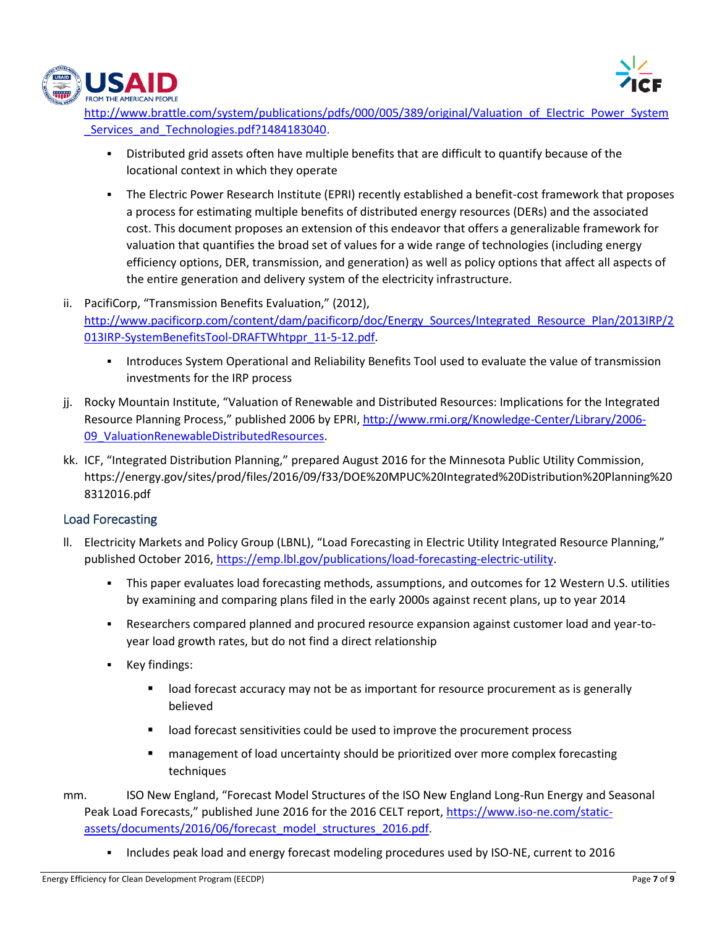



http://www.brattle.com/system/publications/pdfs/000/005/389/original/Valuation of Electric Power System Services and Technologies.pdf?1484183040.

- Distributed grid assets often have multiple benefits that are difficult to quantify because of the locational context in which they operate
- The Electric Power Research Institute (EPRI) recently established a benefit-cost framework that proposes a process for estimating multiple benefits of distributed energy resources (DERs) and the associated cost. This document proposes an extension of this endeavor that offers a generalizable framework for valuation that quantifies the broad set of values for a wide range of technologies (including energy efficiency options, DER, transmission, and generation) as well as policy options that affect all aspects of the entire generation and delivery system of the electricity infrastructure.
- ii. PacifiCorp, "Transmission Benefits Evaluation," (2012), [http://www.pacificorp.com/content/dam/pacificorp/doc/Energy\\_Sources/Integrated\\_Resource\\_Plan/2013IRP/2](http://www.pacificorp.com/content/dam/pacificorp/doc/Energy_Sources/Integrated_Resource_Plan/2013IRP/2013IRP-SystemBenefitsTool-DRAFTWhtppr_11-5-12.pdf) [013IRP-SystemBenefitsTool-DRAFTWhtppr\\_11-5-12.pdf.](http://www.pacificorp.com/content/dam/pacificorp/doc/Energy_Sources/Integrated_Resource_Plan/2013IRP/2013IRP-SystemBenefitsTool-DRAFTWhtppr_11-5-12.pdf)
	- **Introduces System Operational and Reliability Benefits Tool used to evaluate the value of transmission** investments for the IRP process
- jj. Rocky Mountain Institute, "Valuation of Renewable and Distributed Resources: Implications for the Integrated Resource Planning Process," published 2006 by EPRI, [http://www.rmi.org/Knowledge-Center/Library/2006-](http://www.rmi.org/Knowledge-Center/Library/2006-09_ValuationRenewableDistributedResources) [09\\_ValuationRenewableDistributedResources.](http://www.rmi.org/Knowledge-Center/Library/2006-09_ValuationRenewableDistributedResources)
- kk. ICF, "Integrated Distribution Planning," prepared August 2016 for the Minnesota Public Utility Commission, https://energy.gov/sites/prod/files/2016/09/f33/DOE%20MPUC%20Integrated%20Distribution%20Planning%20 8312016.pdf

## Load Forecasting

- ll. Electricity Markets and Policy Group (LBNL), "Load Forecasting in Electric Utility Integrated Resource Planning," published October 2016[, https://emp.lbl.gov/publications/load-forecasting-electric-utility.](https://emp.lbl.gov/publications/load-forecasting-electric-utility)
	- This paper evaluates load forecasting methods, assumptions, and outcomes for 12 Western U.S. utilities by examining and comparing plans filed in the early 2000s against recent plans, up to year 2014
	- Researchers compared planned and procured resource expansion against customer load and year-toyear load growth rates, but do not find a direct relationship
	- Key findings:
		- **If alload forecast accuracy may not be as important for resource procurement as is generally** believed
		- load forecast sensitivities could be used to improve the procurement process
		- **EXED** management of load uncertainty should be prioritized over more complex forecasting techniques
- mm. ISO New England, "Forecast Model Structures of the ISO New England Long-Run Energy and Seasonal Peak Load Forecasts," published June 2016 for the 2016 CELT report, [https://www.iso-ne.com/static](https://www.iso-ne.com/static-assets/documents/2016/06/forecast_model_structures_2016.pdf)[assets/documents/2016/06/forecast\\_model\\_structures\\_2016.pdf.](https://www.iso-ne.com/static-assets/documents/2016/06/forecast_model_structures_2016.pdf)
	- Includes peak load and energy forecast modeling procedures used by ISO-NE, current to 2016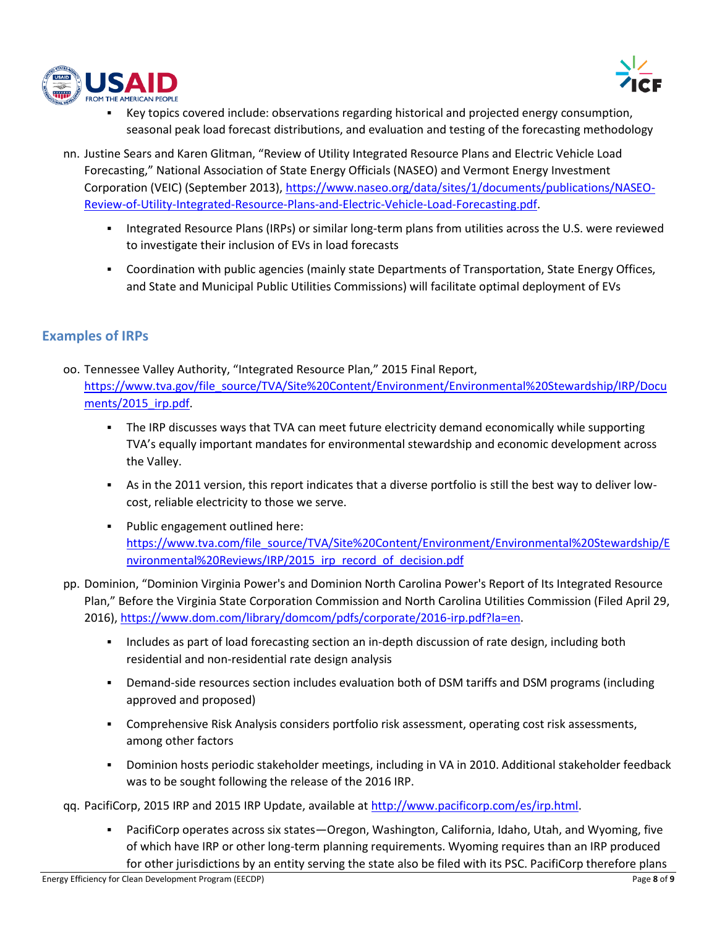



- Key topics covered include: observations regarding historical and projected energy consumption, seasonal peak load forecast distributions, and evaluation and testing of the forecasting methodology
- nn. Justine Sears and Karen Glitman, "Review of Utility Integrated Resource Plans and Electric Vehicle Load Forecasting," National Association of State Energy Officials (NASEO) and Vermont Energy Investment Corporation (VEIC) (September 2013), [https://www.naseo.org/data/sites/1/documents/publications/NASEO-](https://www.naseo.org/data/sites/1/documents/publications/NASEO-Review-of-Utility-Integrated-Resource-Plans-and-Electric-Vehicle-Load-Forecasting.pdf)[Review-of-Utility-Integrated-Resource-Plans-and-Electric-Vehicle-Load-Forecasting.pdf.](https://www.naseo.org/data/sites/1/documents/publications/NASEO-Review-of-Utility-Integrated-Resource-Plans-and-Electric-Vehicle-Load-Forecasting.pdf)
	- Integrated Resource Plans (IRPs) or similar long-term plans from utilities across the U.S. were reviewed to investigate their inclusion of EVs in load forecasts
	- Coordination with public agencies (mainly state Departments of Transportation, State Energy Offices, and State and Municipal Public Utilities Commissions) will facilitate optimal deployment of EVs

## **Examples of IRPs**

- oo. Tennessee Valley Authority, "Integrated Resource Plan," 2015 Final Report, [https://www.tva.gov/file\\_source/TVA/Site%20Content/Environment/Environmental%20Stewardship/IRP/Docu](https://www.tva.gov/file_source/TVA/Site%20Content/Environment/Environmental%20Stewardship/IRP/Documents/2015_irp.pdf) [ments/2015\\_irp.pdf.](https://www.tva.gov/file_source/TVA/Site%20Content/Environment/Environmental%20Stewardship/IRP/Documents/2015_irp.pdf)
	- **•** The IRP discusses ways that TVA can meet future electricity demand economically while supporting TVA's equally important mandates for environmental stewardship and economic development across the Valley.
	- As in the 2011 version, this report indicates that a diverse portfolio is still the best way to deliver lowcost, reliable electricity to those we serve.
	- Public engagement outlined here: [https://www.tva.com/file\\_source/TVA/Site%20Content/Environment/Environmental%20Stewardship/E](https://www.tva.com/file_source/TVA/Site%20Content/Environment/Environmental%20Stewardship/Environmental%20Reviews/IRP/2015_irp_record_of_decision.pdf) [nvironmental%20Reviews/IRP/2015\\_irp\\_record\\_of\\_decision.pdf](https://www.tva.com/file_source/TVA/Site%20Content/Environment/Environmental%20Stewardship/Environmental%20Reviews/IRP/2015_irp_record_of_decision.pdf)
- pp. Dominion, "Dominion Virginia Power's and Dominion North Carolina Power's Report of Its Integrated Resource Plan," Before the Virginia State Corporation Commission and North Carolina Utilities Commission (Filed April 29, 2016), [https://www.dom.com/library/domcom/pdfs/corporate/2016-irp.pdf?la=en.](https://www.dom.com/library/domcom/pdfs/corporate/2016-irp.pdf?la=en)
	- **•** Includes as part of load forecasting section an in-depth discussion of rate design, including both residential and non-residential rate design analysis
	- **•** Demand-side resources section includes evaluation both of DSM tariffs and DSM programs (including approved and proposed)
	- Comprehensive Risk Analysis considers portfolio risk assessment, operating cost risk assessments, among other factors
	- Dominion hosts periodic stakeholder meetings, including in VA in 2010. Additional stakeholder feedback was to be sought following the release of the 2016 IRP.

qq. PacifiCorp, 2015 IRP and 2015 IRP Update, available at [http://www.pacificorp.com/es/irp.html.](http://www.pacificorp.com/es/irp.html)

▪ PacifiCorp operates across six states—Oregon, Washington, California, Idaho, Utah, and Wyoming, five of which have IRP or other long-term planning requirements. Wyoming requires than an IRP produced for other jurisdictions by an entity serving the state also be filed with its PSC. PacifiCorp therefore plans